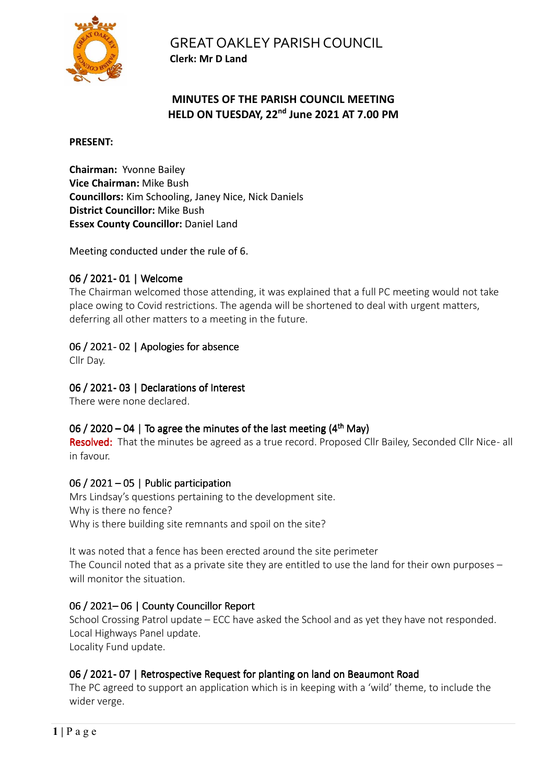

GREAT OAKLEY PARISH COUNCIL **Clerk: Mr D Land** 

### **MINUTES OF THE PARISH COUNCIL MEETING HELD ON TUESDAY, 22nd June 2021 AT 7.00 PM**

#### **PRESENT:**

**Chairman:** Yvonne Bailey **Vice Chairman:** Mike Bush **Councillors:** Kim Schooling, Janey Nice, Nick Daniels **District Councillor:** Mike Bush **Essex County Councillor:** Daniel Land

Meeting conducted under the rule of 6.

### 06 / 2021- 01 | Welcome

The Chairman welcomed those attending, it was explained that a full PC meeting would not take place owing to Covid restrictions. The agenda will be shortened to deal with urgent matters, deferring all other matters to a meeting in the future.

### 06 / 2021-02 | Apologies for absence

Cllr Day.

### 06 / 2021-03 | Declarations of Interest

There were none declared.

### 06 / 2020 – 04 | To agree the minutes of the last meeting  $(4<sup>th</sup>$  May)

Resolved: That the minutes be agreed as a true record. Proposed Cllr Bailey, Seconded Cllr Nice- all in favour.

### 06 / 2021 – 05 | Public participation

Mrs Lindsay's questions pertaining to the development site. Why is there no fence? Why is there building site remnants and spoil on the site?

It was noted that a fence has been erected around the site perimeter The Council noted that as a private site they are entitled to use the land for their own purposes – will monitor the situation

### 06 / 2021–06 | County Councillor Report

School Crossing Patrol update – ECC have asked the School and as yet they have not responded. Local Highways Panel update. Locality Fund update.

### 06 / 2021 - 07 | Retrospective Request for planting on land on Beaumont Road

The PC agreed to support an application which is in keeping with a 'wild' theme, to include the wider verge.